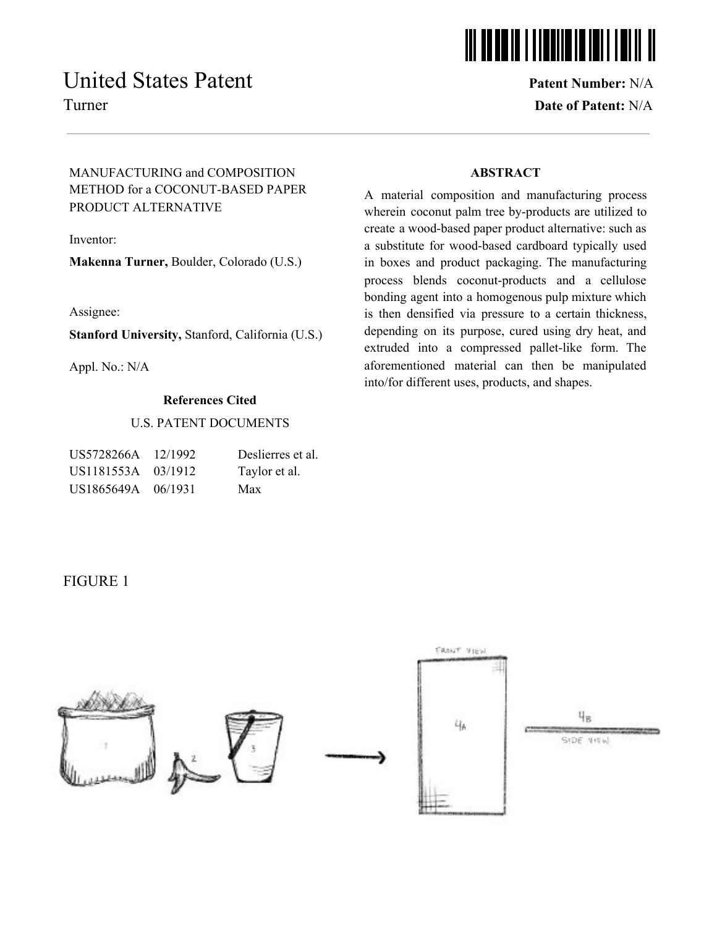# United States Patent **Patent August** Patent **Patent Number:** N/A

# <u>iii oo do in 1 i iddiid in inii i i</u>

Turner **Date of Patent:** N/A

## MANUFACTURING and COMPOSITION METHOD for a COCONUT-BASED PAPER PRODUCT ALTERNATIVE

Inventor:

**Makenna Turner,** Boulder, Colorado (U.S.)

Assignee:

**Stanford University,** Stanford, California (U.S.)

Appl. No.: N/A

### **References Cited**

### U.S. PATENT DOCUMENTS

| US5728266A         | 12/1992 | Deslierres et al. |
|--------------------|---------|-------------------|
| US1181553A 03/1912 |         | Taylor et al.     |
| US1865649A 06/1931 |         | Max               |

### **ABSTRACT**

A material composition and manufacturing process wherein coconut palm tree by-products are utilized to create a wood-based paper product alternative: such as a substitute for wood-based cardboard typically used in boxes and product packaging. The manufacturing process blends coconut-products and a cellulose bonding agent into a homogenous pulp mixture which is then densified via pressure to a certain thickness, depending on its purpose, cured using dry heat, and extruded into a compressed pallet-like form. The aforementioned material can then be manipulated into/for different uses, products, and shapes.

## FIGURE 1

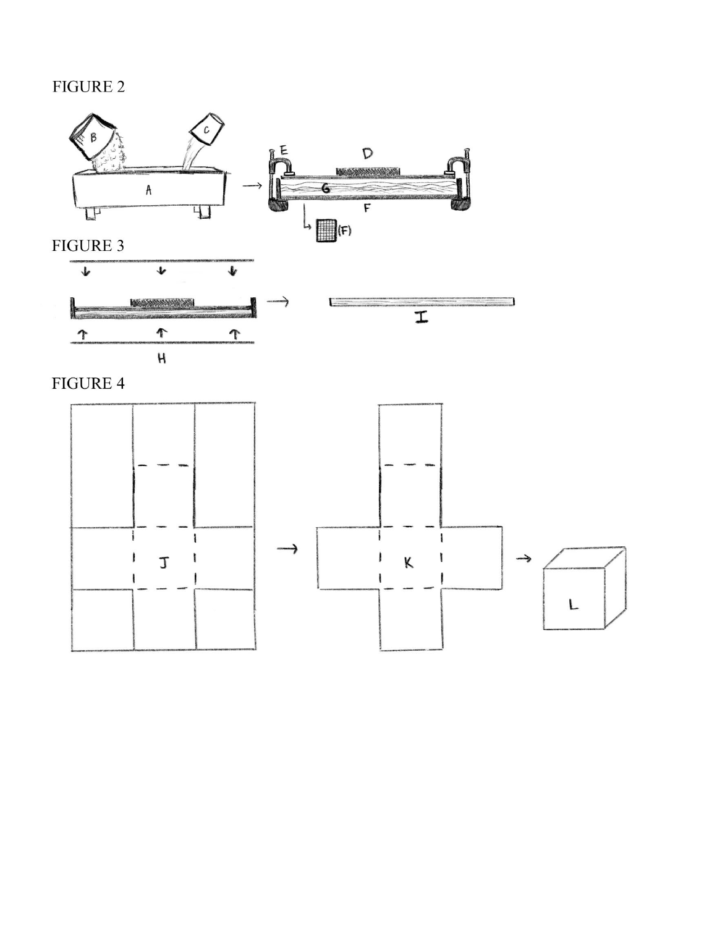# FIGURE 2





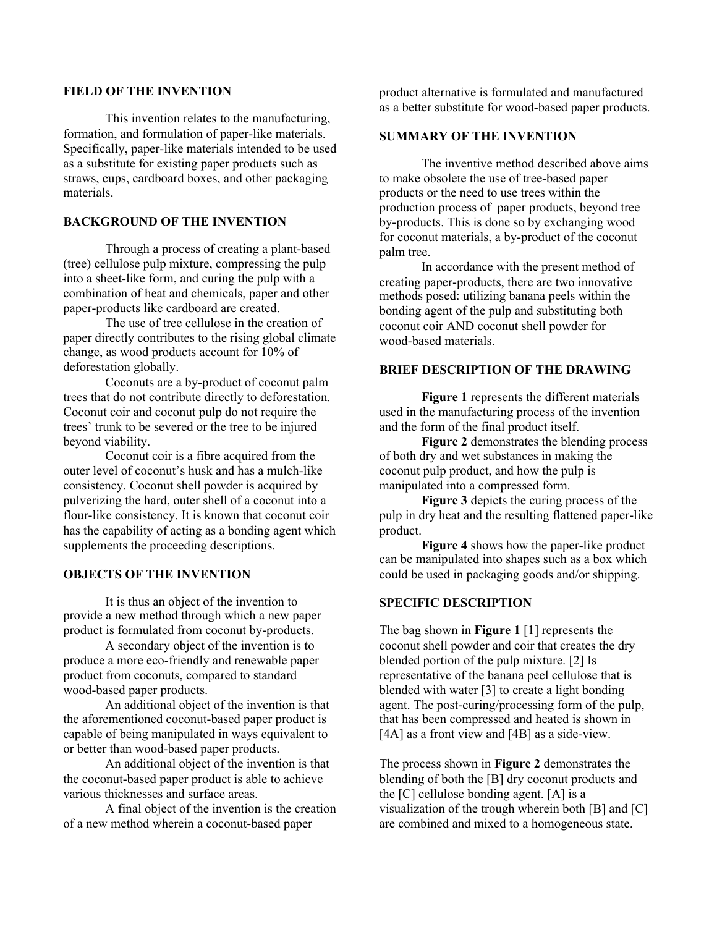### **FIELD OF THE INVENTION**

This invention relates to the manufacturing, formation, and formulation of paper-like materials. Specifically, paper-like materials intended to be used as a substitute for existing paper products such as straws, cups, cardboard boxes, and other packaging materials.

### **BACKGROUND OF THE INVENTION**

Through a process of creating a plant-based (tree) cellulose pulp mixture, compressing the pulp into a sheet-like form, and curing the pulp with a combination of heat and chemicals, paper and other paper-products like cardboard are created.

The use of tree cellulose in the creation of paper directly contributes to the rising global climate change, as wood products account for 10% of deforestation globally.

Coconuts are a by-product of coconut palm trees that do not contribute directly to deforestation. Coconut coir and coconut pulp do not require the trees' trunk to be severed or the tree to be injured beyond viability.

Coconut coir is a fibre acquired from the outer level of coconut's husk and has a mulch-like consistency. Coconut shell powder is acquired by pulverizing the hard, outer shell of a coconut into a flour-like consistency. It is known that coconut coir has the capability of acting as a bonding agent which supplements the proceeding descriptions.

### **OBJECTS OF THE INVENTION**

It is thus an object of the invention to provide a new method through which a new paper product is formulated from coconut by-products.

A secondary object of the invention is to produce a more eco-friendly and renewable paper product from coconuts, compared to standard wood-based paper products.

An additional object of the invention is that the aforementioned coconut-based paper product is capable of being manipulated in ways equivalent to or better than wood-based paper products.

An additional object of the invention is that the coconut-based paper product is able to achieve various thicknesses and surface areas.

A final object of the invention is the creation of a new method wherein a coconut-based paper

product alternative is formulated and manufactured as a better substitute for wood-based paper products.

### **SUMMARY OF THE INVENTION**

The inventive method described above aims to make obsolete the use of tree-based paper products or the need to use trees within the production process of paper products, beyond tree by-products. This is done so by exchanging wood for coconut materials, a by-product of the coconut palm tree.

In accordance with the present method of creating paper-products, there are two innovative methods posed: utilizing banana peels within the bonding agent of the pulp and substituting both coconut coir AND coconut shell powder for wood-based materials.

#### **BRIEF DESCRIPTION OF THE DRAWING**

**Figure 1** represents the different materials used in the manufacturing process of the invention and the form of the final product itself.

**Figure 2** demonstrates the blending process of both dry and wet substances in making the coconut pulp product, and how the pulp is manipulated into a compressed form.

**Figure 3** depicts the curing process of the pulp in dry heat and the resulting flattened paper-like product.

**Figure 4** shows how the paper-like product can be manipulated into shapes such as a box which could be used in packaging goods and/or shipping.

#### **SPECIFIC DESCRIPTION**

The bag shown in **Figure 1** [1] represents the coconut shell powder and coir that creates the dry blended portion of the pulp mixture. [2] Is representative of the banana peel cellulose that is blended with water [3] to create a light bonding agent. The post-curing/processing form of the pulp, that has been compressed and heated is shown in [4A] as a front view and [4B] as a side-view.

The process shown in **Figure 2** demonstrates the blending of both the [B] dry coconut products and the [C] cellulose bonding agent. [A] is a visualization of the trough wherein both [B] and [C] are combined and mixed to a homogeneous state.